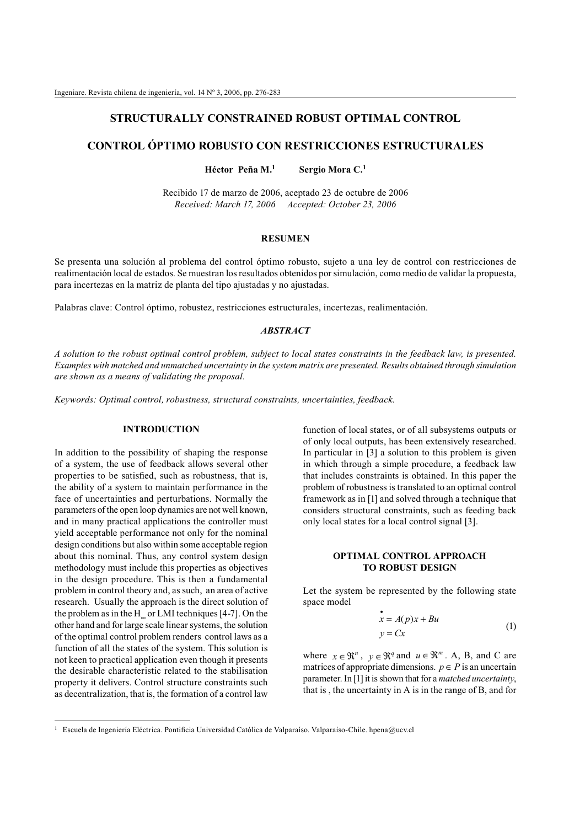# **STRUCTURALLY CONSTRAINED ROBUST OPTIMAL CONTROL**

# **CONTROL ÓPTIMO ROBUSTO CON RESTRICCIONES ESTRUCTURALES**

**Héctor Peña M.<sup>1</sup> Sergio Mora C.<sup>1</sup>**

Recibido 17 de marzo de 2006, aceptado 23 de octubre de 2006 *Received: March 17, 2006 Accepted: October 23, 2006*

#### **RESUMEN**

Se presenta una solución al problema del control óptimo robusto, sujeto a una ley de control con restricciones de realimentación local de estados. Se muestran los resultados obtenidos por simulación, como medio de validar la propuesta, para incertezas en la matriz de planta del tipo ajustadas y no ajustadas.

Palabras clave: Control óptimo, robustez, restricciones estructurales, incertezas, realimentación.

### *ABSTRACT*

*A solution to the robust optimal control problem, subject to local states constraints in the feedback law, is presented. Examples with matched and unmatched uncertainty in the system matrix are presented. Results obtained through simulation are shown as a means of validating the proposal.*

*Keywords: Optimal control, robustness, structural constraints, uncertainties, feedback.*

#### **INTRODUCTION**

In addition to the possibility of shaping the response of a system, the use of feedback allows several other properties to be satisfied, such as robustness, that is, the ability of a system to maintain performance in the face of uncertainties and perturbations. Normally the parameters of the open loop dynamics are not well known, and in many practical applications the controller must yield acceptable performance not only for the nominal design conditions but also within some acceptable region about this nominal. Thus, any control system design methodology must include this properties as objectives in the design procedure. This is then a fundamental problem in control theory and, as such, an area of active research. Usually the approach is the direct solution of the problem as in the  $H_{\infty}$  or LMI techniques [4-7]. On the other hand and for large scale linear systems, the solution of the optimal control problem renders control laws as a function of all the states of the system. This solution is not keen to practical application even though it presents the desirable characteristic related to the stabilisation property it delivers. Control structure constraints such as decentralization, that is, the formation of a control law

function of local states, or of all subsystems outputs or of only local outputs, has been extensively researched. In particular in [3] a solution to this problem is given in which through a simple procedure, a feedback law that includes constraints is obtained. In this paper the problem of robustness is translated to an optimal control framework as in [1] and solved through a technique that considers structural constraints, such as feeding back only local states for a local control signal [3].

## **OPTIMAL CONTROL APPROACH TO ROBUST DESIGN**

Let the system be represented by the following state space model

$$
\begin{aligned} \mathbf{\dot{x}} &= A(p)\mathbf{x} + Bu \\ \mathbf{y} &= C\mathbf{x} \end{aligned} \tag{1}
$$

where  $x \in \mathbb{R}^n$ ,  $y \in \mathbb{R}^q$  and  $u \in \mathbb{R}^m$ . A, B, and C are matrices of appropriate dimensions.  $p \in P$  is an uncertain parameter. In [1] it is shown that for a *matched uncertainty*, that is , the uncertainty in A is in the range of B, and for

<sup>&</sup>lt;sup>1</sup> Escuela de Ingeniería Eléctrica. Pontificia Universidad Católica de Valparaíso. Valparaíso-Chile. hpena@ucv.cl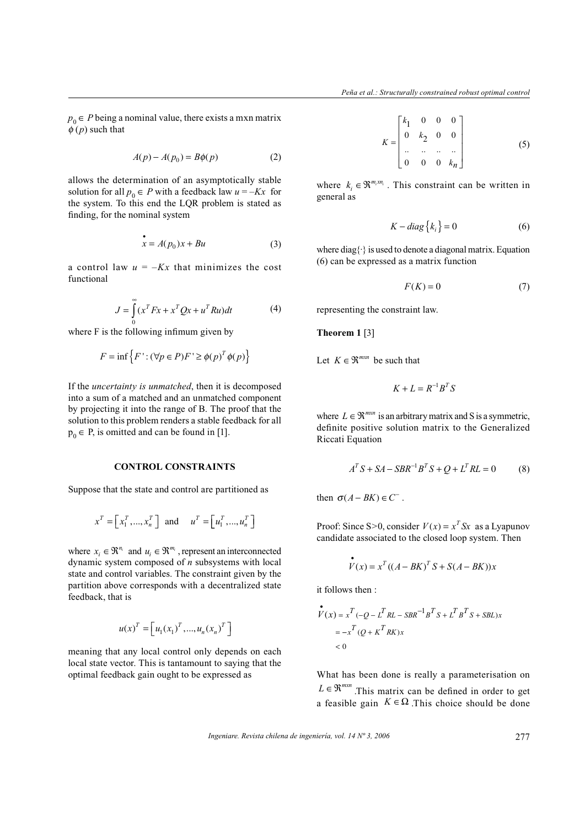$p_0 \in P$  being a nominal value, there exists a mxn matrix  $\phi(p)$  such that

$$
A(p) - A(p_0) = B\phi(p) \tag{2}
$$

allows the determination of an asymptotically stable solution for all  $p_0 \in P$  with a feedback law  $u = -Kx$  for the system. To this end the LQR problem is stated as finding, for the nominal system

$$
x = A(p_0)x + Bu \tag{3}
$$

a control law  $u = -Kx$  that minimizes the cost functional

$$
J = \int_{0}^{\infty} (x^T F x + x^T Q x + u^T R u) dt
$$
 (4)

where F is the following infimum given by

$$
F = \inf \{ F : (\forall p \in P) F' \ge \phi(p)^T \phi(p) \}
$$

If the *uncertainty is unmatched*, then it is decomposed into a sum of a matched and an unmatched component by projecting it into the range of B. The proof that the solution to this problem renders a stable feedback for all  $p_0 \in P$ , is omitted and can be found in [1].

## **CONTROL CONSTRAINTS**

Suppose that the state and control are partitioned as

$$
x^T = \begin{bmatrix} x_1^T, \dots, x_n^T \end{bmatrix} \text{ and } u^T = \begin{bmatrix} u_1^T, \dots, u_n^T \end{bmatrix}
$$

where  $x_i \in \mathbb{R}^{n_i}$  and  $u_i \in \mathbb{R}^{m_i}$ , represent an interconnected dynamic system composed of *n* subsystems with local state and control variables. The constraint given by the partition above corresponds with a decentralized state feedback, that is

$$
u(x)^{T} = \left[u_1(x_1)^{T},...,u_n(x_n)^{T}\right]
$$

meaning that any local control only depends on each local state vector. This is tantamount to saying that the optimal feedback gain ought to be expressed as

$$
K = \begin{bmatrix} k_1 & 0 & 0 & 0 \\ 0 & k_2 & 0 & 0 \\ \vdots & \vdots & \vdots & \vdots \\ 0 & 0 & 0 & k_n \end{bmatrix}
$$
 (5)

where  $k_i \in \mathfrak{R}^{m_i \times n_i}$ . This constraint can be written in general as

$$
K - diag\{k_i\} = 0
$$
 (6)

where diag $\{\cdot\}$  is used to denote a diagonal matrix. Equation (6) can be expressed as a matrix function

$$
F(K) = 0\tag{7}
$$

representing the constraint law.

# **Theorem 1** [3]

Let  $K \in \mathfrak{R}^{m \times n}$  be such that

$$
K + L = R^{-1}B^T S
$$

where  $L \in \mathbb{R}^{m \times n}$  is an arbitrary matrix and S is a symmetric, definite positive solution matrix to the Generalized Riccati Equation

$$
ATS + SA - SBR-1BTS + Q + LTRL = 0
$$
 (8)

then  $\sigma(A - BK) \in C^-$ .

Proof: Since S>0, consider  $V(x) = x^T S x$  as a Lyapunov candidate associated to the closed loop system. Then

$$
\stackrel{\bullet}{V}(x) = x^T ((A - BK)^T S + S(A - BK))x
$$

it follows then :

$$
\begin{aligned} \overset{\bullet}{V}(x) &= x^T \left( -Q - L^T R L - S B R^{-1} B^T S + L^T B^T S + S B L \right) x \\ &= -x^T \left( Q + K^T R K \right) x \\ &< 0 \end{aligned}
$$

What has been done is really a parameterisation on  $L \in \mathbb{R}^{m \times n}$ . This matrix can be defined in order to get a feasible gain  $K \in \Omega$ . This choice should be done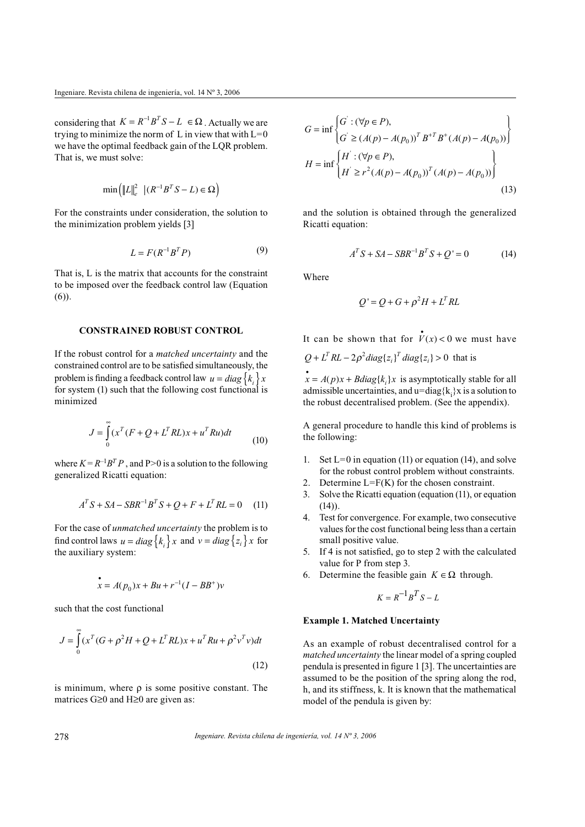considering that  $K = R^{-1}B^{T}S - L \in \Omega$ . Actually we are trying to minimize the norm of L in view that with  $L=0$ we have the optimal feedback gain of the LQR problem. That is, we must solve:

$$
\min\left(\left\|L\right\|_{e}^{2} \left| \left(R^{-1}B^{T}S - L\right) \in \Omega\right.\right)
$$

For the constraints under consideration, the solution to the minimization problem yields [3]

$$
L = F(R^{-1}B^T P) \tag{9}
$$

That is, L is the matrix that accounts for the constraint to be imposed over the feedback control law (Equation (6)).

# **CONSTRAINED ROBUST CONTROL**

If the robust control for a *matched uncertainty* and the constrained control are to be satisfied simultaneously, the problem is finding a feedback control law  $u = diag\{k_i\}x_i$ for system (1) such that the following cost functional is minimized

$$
J = \int_{0}^{\infty} (x^T (F + Q + L^T R L)x + u^T R u) dt
$$
 (10)

where  $K = R^{-1}B^{T}P$ , and P>0 is a solution to the following generalized Ricatti equation:

$$
A^T S + SA - SBR^{-1}B^T S + Q + F + L^T R L = 0 \tag{11}
$$

For the case of *unmatched uncertainty* the problem is to find control laws  $u = diag\{k_i\}x$  and  $v = diag\{z_i\}x$  for the auxiliary system:

$$
x = A(p_0)x + Bu + r^{-1}(I - BB^+)v
$$

such that the cost functional

$$
J = \int_{0}^{\infty} (x^{T} (G + \rho^{2} H + Q + L^{T} RL)x + u^{T} Ru + \rho^{2} v^{T} v) dt
$$
\n(12)

is minimum, where  $\rho$  is some positive constant. The matrices  $G \geq 0$  and  $H \geq 0$  are given as:

$$
G = \inf \left\{ G^{'} : (\forall p \in P), \n G^{'} \ge (A(p) - A(p_0))^T B^{+T} B^+ (A(p) - A(p_0)) \right\} \n H = \inf \left\{ H^{'} : (\forall p \in P), \n H^{'} \ge r^2 (A(p) - A(p_0))^T (A(p) - A(p_0)) \right\}
$$
\n(13)

and the solution is obtained through the generalized Ricatti equation:

$$
AT S + SA - SBR-1BT S + Q' = 0
$$
 (14)

Where

$$
Q' = Q + G + \rho^2 H + L^T R L
$$

It can be shown that for  $\mathbf{v}(x) < 0$  we must have  $Q + L^T R L - 2\rho^2 diag\{z_i\}^T diag\{z_i\} > 0$  that is  $\mathbf{x} = A(p)\mathbf{x} + Bdiag\{k_i\}\mathbf{x}$  is asymptotically stable for all admissible uncertainties, and  $u = diag{k_i}x$  is a solution to

A general procedure to handle this kind of problems is the following:

the robust decentralised problem. (See the appendix).

- 1. Set  $L=0$  in equation (11) or equation (14), and solve for the robust control problem without constraints.
- 2. Determine  $L=F(K)$  for the chosen constraint.
- 3. Solve the Ricatti equation (equation (11), or equation  $(14)$ ).
- 4. Test for convergence. For example, two consecutive values for the cost functional being less than a certain small positive value.
- 5. If 4 is not satisfied, go to step 2 with the calculated value for P from step 3.
- 6. Determine the feasible gain  $K \in \Omega$  through.

$$
K = R^{-1}B^T S - L
$$

#### **Example 1. Matched Uncertainty**

As an example of robust decentralised control for a *matched uncertainty* the linear model of a spring coupled pendula is presented in figure 1 [3]. The uncertainties are assumed to be the position of the spring along the rod, h, and its stiffness, k. It is known that the mathematical model of the pendula is given by: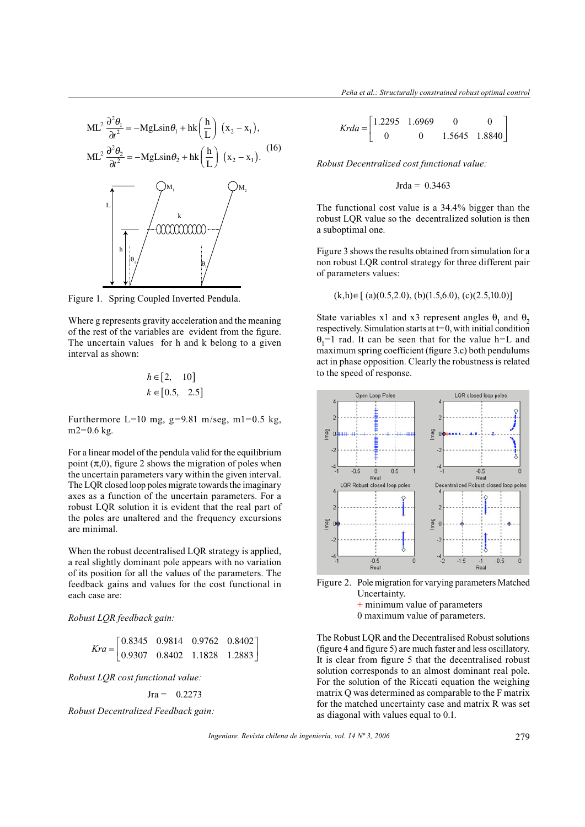$$
ML^{2} \frac{\partial^{2} \theta_{1}}{\partial t^{2}} = -MgL\sin\theta_{1} + hk\left(\frac{h}{L}\right)(x_{2} - x_{1}),
$$
  

$$
ML^{2} \frac{\partial^{2} \theta_{2}}{\partial t^{2}} = -MgL\sin\theta_{2} + hk\left(\frac{h}{L}\right)(x_{2} - x_{1}).
$$
  

$$
L\left[\frac{m}{h}\right]_{\theta_{1}}\sqrt{\frac{k}{h}\left(\frac{h}{h}\right)^{2}}\sqrt{\frac{m}{h}\left(\frac{h}{h}\right)^{2}}\sqrt{\frac{k}{h}\left(\frac{h}{h}\right)^{2}}\sqrt{\frac{m}{h}\left(\frac{h}{h}\right)^{2}}\sqrt{\frac{m}{h}\left(\frac{h}{h}\right)^{2}}\sqrt{\frac{m}{h}\left(\frac{h}{h}\right)^{2}}\sqrt{\frac{m}{h}\left(\frac{h}{h}\right)^{2}}\sqrt{\frac{m}{h}\left(\frac{h}{h}\right)^{2}}\sqrt{\frac{m}{h}\left(\frac{h}{h}\right)^{2}}\sqrt{\frac{m}{h}\left(\frac{h}{h}\right)^{2}}\sqrt{\frac{m}{h}\left(\frac{h}{h}\right)^{2}}\sqrt{\frac{m}{h}\left(\frac{h}{h}\right)^{2}}\sqrt{\frac{m}{h}\left(\frac{h}{h}\right)^{2}}\sqrt{\frac{m}{h}\left(\frac{h}{h}\right)^{2}}\sqrt{\frac{m}{h}\left(\frac{h}{h}\right)^{2}}\sqrt{\frac{m}{h}\left(\frac{h}{h}\right)^{2}}\sqrt{\frac{m}{h}\left(\frac{h}{h}\right)^{2}}\sqrt{\frac{m}{h}\left(\frac{h}{h}\right)^{2}}\sqrt{\frac{m}{h}\left(\frac{h}{h}\right)^{2}}\sqrt{\frac{m}{h}\left(\frac{h}{h}\right)^{2}}\sqrt{\frac{m}{h}\left(\frac{h}{h}\right)^{2}}\sqrt{\frac{m}{h}\left(\frac{h}{h}\right)^{2}}\sqrt{\frac{m}{h}\left(\frac{h}{h}\right)^{2}}\sqrt{\frac{m}{h}\left(\frac{h}{h}\right)^{2}}\sqrt{\frac{m}{h}\left(\frac{h}{h}\right)^{2}}\sqrt{\frac{m}{h}\left(\frac{h}{h}\right)^{2}}\sqrt{\frac{m}{h}\left(\frac{h}{h}\right)^{2}}\sqrt{\frac{m}{h}\left(\frac{h}{h}\
$$

Figure 1. Spring Coupled Inverted Pendula.

Where g represents gravity acceleration and the meaning of the rest of the variables are evident from the figure. The uncertain values for h and k belong to a given interval as shown:

$$
h \in [2, 10]
$$
  

$$
k \in [0.5, 2.5]
$$

Furthermore L=10 mg,  $g=9.81$  m/seg, m1=0.5 kg, m2=0.6 kg.

For a linear model of the pendula valid for the equilibrium point  $(\pi,0)$ , figure 2 shows the migration of poles when the uncertain parameters vary within the given interval. The LQR closed loop poles migrate towards the imaginary axes as a function of the uncertain parameters. For a robust LQR solution it is evident that the real part of the poles are unaltered and the frequency excursions are minimal.

When the robust decentralised LQR strategy is applied, a real slightly dominant pole appears with no variation of its position for all the values of the parameters. The feedback gains and values for the cost functional in each case are:

*Robust LQR feedback gain:*

$$
Kra = \begin{bmatrix} 0.8345 & 0.9814 & 0.9762 & 0.8402 \\ 0.9307 & 0.8402 & 1.1828 & 1.2883 \end{bmatrix}
$$

*Robust LQR cost functional value:*

$$
Jra = 0.2273
$$

*Robust Decentralized Feedback gain:*

$$
Krda = \begin{bmatrix} 1.2295 & 1.6969 & 0 & 0 \\ 0 & 0 & 1.5645 & 1.8840 \end{bmatrix}
$$

*Robust Decentralized cost functional value:*

#### $Jrda = 0.3463$

The functional cost value is a 34.4% bigger than the robust LQR value so the decentralized solution is then a suboptimal one.

Figure 3 shows the results obtained from simulation for a non robust LQR control strategy for three different pair of parameters values:

$$
(k,h) \in [ (a)(0.5,2.0), (b)(1.5,6.0), (c)(2.5,10.0) ]
$$

State variables x1 and x3 represent angles  $\theta_1$  and  $\theta_2$ respectively. Simulation starts at  $t=0$ , with initial condition  $\theta_1$ =1 rad. It can be seen that for the value h=L and maximum spring coefficient (figure 3.c) both pendulums act in phase opposition. Clearly the robustness is related to the speed of response.



Figure 2. Pole migration for varying parameters Matched Uncertainty. + minimum value of parameters

0 maximum value of parameters.

The Robust LQR and the Decentralised Robust solutions (figure 4 and figure 5) are much faster and less oscillatory. It is clear from figure 5 that the decentralised robust solution corresponds to an almost dominant real pole. For the solution of the Riccati equation the weighing matrix Q was determined as comparable to the F matrix for the matched uncertainty case and matrix R was set as diagonal with values equal to 0.1.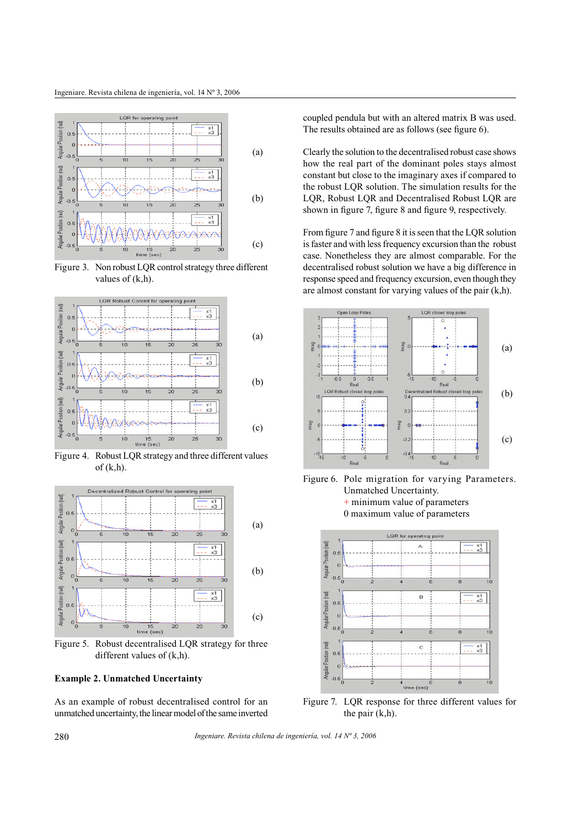

Figure 3. Non robust LQR control strategy three different values of  $(k,h)$ .



Figure 4. Robust LQR strategy and three different values  $of (k,h)$ .



Figure 5. Robust decentralised LQR strategy for three different values of (k,h).

### **Example 2. Unmatched Uncertainty**

As an example of robust decentralised control for an unmatched uncertainty, the linear model of the same inverted coupled pendula but with an altered matrix B was used. The results obtained are as follows (see figure 6).

Clearly the solution to the decentralised robust case shows how the real part of the dominant poles stays almost constant but close to the imaginary axes if compared to the robust LQR solution. The simulation results for the LQR, Robust LQR and Decentralised Robust LQR are shown in figure 7, figure 8 and figure 9, respectively.

From figure 7 and figure 8 it is seen that the LQR solution is faster and with less frequency excursion than the robust case. Nonetheless they are almost comparable. For the decentralised robust solution we have a big difference in response speed and frequency excursion, even though they are almost constant for varying values of the pair (k,h).



Figure 6. Pole migration for varying Parameters. Unmatched Uncertainty. + minimum value of parameters 0 maximum value of parameters



Figure 7. LQR response for three different values for the pair (k,h).

*Ingeniare. Revista chilena de ingeniería, vol. 14 Nº 3, 2006*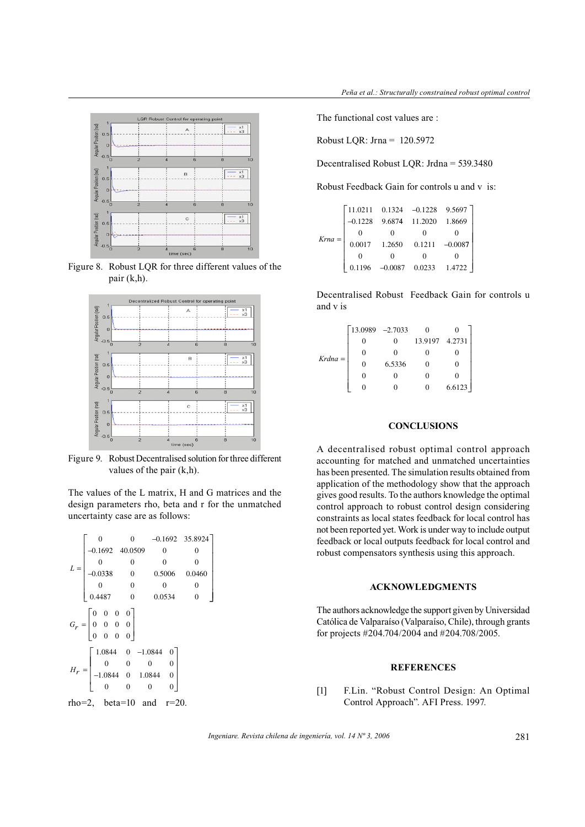

Figure 8. Robust LQR for three different values of the pair (k,h).



Figure 9. Robust Decentralised solution for three different values of the pair (k,h).

The values of the L matrix, H and G matrices and the design parameters rho, beta and r for the unmatched uncertainty case are as follows:

$$
L = \begin{bmatrix}\n0 & 0 & -0.1692 & 35.8924 \\
-0.1692 & 40.0509 & 0 & 0 \\
0 & 0 & 0 & 0 \\
-0.0338 & 0 & 0.5006 & 0.0460 \\
0 & 0 & 0 & 0 \\
0.4487 & 0 & 0.0534 & 0\n\end{bmatrix}
$$
\n
$$
G_r = \begin{bmatrix}\n0 & 0 & 0 & 0 \\
0 & 0 & 0 & 0 \\
0 & 0 & 0 & 0 \\
0 & 0 & 0 & 0\n\end{bmatrix}
$$
\n
$$
H_r = \begin{bmatrix}\n1.0844 & 0 & -1.0844 & 0 \\
0 & 0 & 0 & 0 \\
-1.0844 & 0 & 1.0844 & 0 \\
0 & 0 & 0 & 0\n\end{bmatrix}
$$
\n
$$
r\text{ho} = 2, \quad \text{beta} = 10 \quad \text{and} \quad r = 20.
$$

The functional cost values are :

Robust LQR: Jrna = 120.5972

Decentralised Robust LQR: Jrdna = 539.3480

Robust Feedback Gain for controls u and v is:

| $Kra = \begin{vmatrix} 0.0017 & 1.2650 & 0.1211 & -0.0087 \end{vmatrix}$ |  | $\begin{bmatrix} 11.0211 & 0.1324 & -0.1228 & 9.5697 \\ -0.1228 & 9.6874 & 11.2020 & 1.8669 \end{bmatrix}$ |  |
|--------------------------------------------------------------------------|--|------------------------------------------------------------------------------------------------------------|--|
|                                                                          |  |                                                                                                            |  |
|                                                                          |  |                                                                                                            |  |
|                                                                          |  |                                                                                                            |  |
|                                                                          |  |                                                                                                            |  |
|                                                                          |  | $0.1196$ -0.0087 0.0233 1.4722                                                                             |  |

Decentralised Robust Feedback Gain for controls u and v is

|                   | $13.0989$ -2.7033 |        |                |        |
|-------------------|-------------------|--------|----------------|--------|
| $Kr$ <i>dna</i> = |                   |        | 13.9197 4.2731 |        |
|                   |                   |        |                |        |
|                   |                   | 6.5336 |                |        |
|                   |                   |        |                |        |
|                   |                   |        |                | 6.6123 |

# **CONCLUSIONS**

A decentralised robust optimal control approach accounting for matched and unmatched uncertainties has been presented. The simulation results obtained from application of the methodology show that the approach gives good results. To the authors knowledge the optimal control approach to robust control design considering constraints as local states feedback for local control has not been reported yet. Work is under way to include output feedback or local outputs feedback for local control and robust compensators synthesis using this approach.

## **ACKNOWLEDGMENTS**

The authors acknowledge the support given by Universidad Católica de Valparaíso (Valparaíso, Chile), through grants for projects #204.704/2004 and #204.708/2005.

# **REFERENCES**

[1] F.Lin. "Robust Control Design: An Optimal Control Approach". AFI Press. 1997.

*Ingeniare. Revista chilena de ingeniería, vol. 14 Nº 3, 2006* 281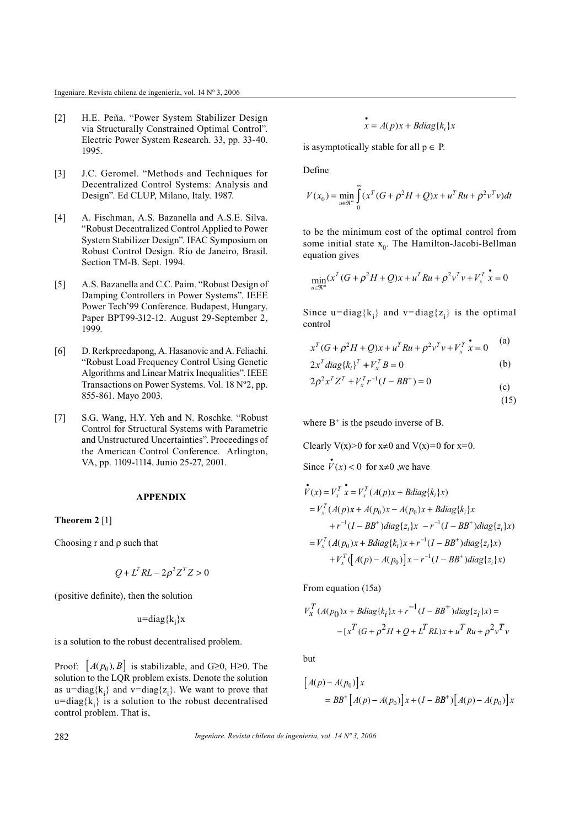- [2] H.E. Peña. "Power System Stabilizer Design via Structurally Constrained Optimal Control". Electric Power System Research. 33, pp. 33-40. 1995.
- [3] J.C. Geromel. "Methods and Techniques for Decentralized Control Systems: Analysis and Design". Ed CLUP, Milano, Italy. 1987.
- [4] A. Fischman, A.S. Bazanella and A.S.E. Silva. "Robust Decentralized Control Applied to Power System Stabilizer Design". IFAC Symposium on Robust Control Design. Río de Janeiro, Brasil. Section TM-B. Sept. 1994.
- [5] A.S. Bazanella and C.C. Paim. "Robust Design of Damping Controllers in Power Systems". IEEE Power Tech'99 Conference. Budapest, Hungary. Paper BPT99-312-12. August 29-September 2, 1999.
- [6] D. Rerkpreedapong, A. Hasanovic and A. Feliachi. "Robust Load Frequency Control Using Genetic Algorithms and Linear Matrix Inequalities". IEEE Transactions on Power Systems. Vol. 18 Nº2, pp. 855-861. Mayo 2003.
- [7] S.G. Wang, H.Y. Yeh and N. Roschke. "Robust Control for Structural Systems with Parametric and Unstructured Uncertainties". Proceedings of the American Control Conference. Arlington, VA, pp. 1109-1114. Junio 25-27, 2001.

#### **APPENDIX**

#### **Theorem 2** [1]

Choosing  $r$  and  $\rho$  such that

$$
Q + L^T R L - 2\rho^2 Z^T Z > 0
$$

(positive definite), then the solution

u=diag{k<sub>i</sub>}x

is a solution to the robust decentralised problem.

Proof:  $[A(p_0), B]$  is stabilizable, and G $\geq 0$ , H $\geq 0$ . The solution to the LQR problem exists. Denote the solution as u=diag{ $k_i$ } and v=diag{ $z_i$ }. We want to prove that  $u = diag{k_i}$  is a solution to the robust decentralised control problem. That is,

$$
x = A(p)x + Bdiag\{k_i\}x
$$

is asymptotically stable for all  $p \in P$ .

Define

$$
V(x_0) = \min_{u \in \mathbb{R}^m} \int_{0}^{\infty} (x^T (G + \rho^2 H + Q)x + u^T Ru + \rho^2 v^T v) dt
$$

to be the minimum cost of the optimal control from some initial state  $x_0$ . The Hamilton-Jacobi-Bellman equation gives

$$
\min_{u \in \mathcal{R}^m} (x^T (G + \rho^2 H + Q)x + u^T Ru + \rho^2 v^T v + V_x^T \stackrel{\bullet}{x} = 0
$$

Since  $u = diag{k_i}$  and  $v = diag{z_i}$  is the optimal control

$$
x^{T}(G + \rho^{2}H + Q)x + u^{T}Ru + \rho^{2}v^{T}v + V_{x}^{T}\stackrel{\bullet}{x} = 0
$$
 (a)

 $\lambda$ 

$$
2x^{T}diag\{k_{i}\}^{T} + V_{x}^{T}B = 0
$$
 (b)  

$$
2x^{2}x^{T}z^{T} + V_{x}^{T}z^{-1}(I - BP^{+}) = 0
$$

$$
2\rho^2 x^T Z^T + V_x^T r^{-1} (I - BB^+) = 0
$$
 (c) (15)

where  $B^+$  is the pseudo inverse of B.

Clearly  $V(x) > 0$  for  $x \neq 0$  and  $V(x)=0$  for  $x=0$ .

Since  $V(x) < 0$  for  $x \neq 0$ , we have

$$
\begin{aligned}\n\stackrel{\bullet}{V}(x) &= V_x^T \stackrel{\bullet}{x} = V_x^T (A(p)x + Bdiag\{k_i\}x) \\
&= V_x^T (A(p)x + A(p_0)x - A(p_0)x + Bdiag\{k_i\}x \\
&\quad + r^{-1}(I - BB^+)diag\{z_i\}x - r^{-1}(I - BB^+)diag\{z_i\}x) \\
&= V_x^T (A(p_0)x + Bdiag\{k_i\}x + r^{-1}(I - BB^+)diag\{z_i\}x) \\
&\quad + V_x^T \Big[ A(p) - A(p_0) \Big] x - r^{-1}(I - BB^+)diag\{z_i\}x)\n\end{aligned}
$$

From equation (15a)

$$
V_x^T (A(p_0)x + Bdiag\{k_i\}x + r^{-1}(I - BB^+)diag\{z_i\}x) =
$$
  
- 
$$
[x^T(G + \rho^2 H + Q + L^T RL)x + u^T Ru + \rho^2 v^T v]
$$

but

$$
[A(p) - A(p_0)]x
$$
  
=  $BB^+ [A(p) - A(p_0)]x + (I - BB^+)[A(p) - A(p_0)]x$ 

*Ingeniare. Revista chilena de ingeniería, vol. 14 Nº 3, 2006*